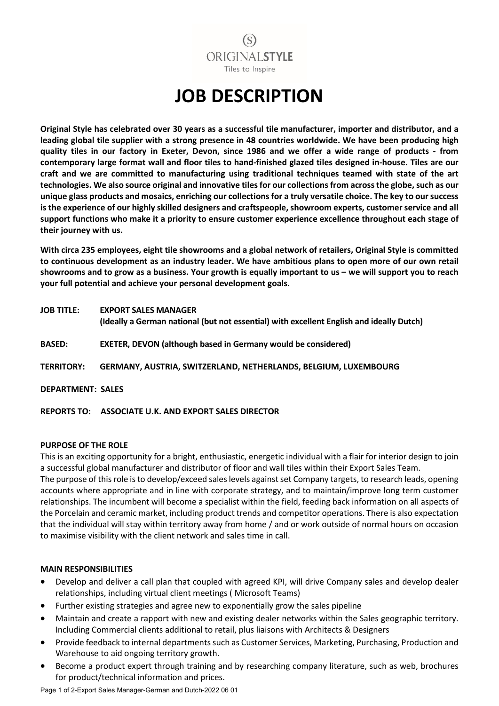## $(S)$ **ORIGINAL STYLE** Tiles to Inspire

# **JOB DESCRIPTION**

**Original Style has celebrated over 30 years as a successful tile manufacturer, importer and distributor, and a leading global tile supplier with a strong presence in 48 countries worldwide. We have been producing high quality tiles in our factory in Exeter, Devon, since 1986 and we offer a wide range of products - from contemporary large format wall and floor tiles to hand-finished glazed tiles designed in-house. Tiles are our craft and we are committed to manufacturing using traditional techniques teamed with state of the art technologies. We also source original and innovative tiles for our collections from across the globe, such as our unique glass products and mosaics, enriching our collections for a truly versatile choice. The key to our success is the experience of our highly skilled designers and craftspeople, showroom experts, customer service and all support functions who make it a priority to ensure customer experience excellence throughout each stage of their journey with us.** 

**With circa 235 employees, eight tile showrooms and a global network of retailers, Original Style is committed to continuous development as an industry leader. We have ambitious plans to open more of our own retail showrooms and to grow as a business. Your growth is equally important to us – we will support you to reach your full potential and achieve your personal development goals.**

| <b>JOB TITLE:</b>        | <b>EXPORT SALES MANAGER</b><br>(Ideally a German national (but not essential) with excellent English and ideally Dutch) |
|--------------------------|-------------------------------------------------------------------------------------------------------------------------|
| <b>BASED:</b>            | <b>EXETER, DEVON (although based in Germany would be considered)</b>                                                    |
| <b>TERRITORY:</b>        | GERMANY, AUSTRIA, SWITZERLAND, NETHERLANDS, BELGIUM, LUXEMBOURG                                                         |
| <b>DEPARTMENT: SALES</b> |                                                                                                                         |
|                          |                                                                                                                         |

**REPORTS TO: ASSOCIATE U.K. AND EXPORT SALES DIRECTOR**

#### **PURPOSE OF THE ROLE**

This is an exciting opportunity for a bright, enthusiastic, energetic individual with a flair for interior design to join a successful global manufacturer and distributor of floor and wall tiles within their Export Sales Team.

The purpose of this role is to develop/exceed sales levels against set Company targets, to research leads, opening accounts where appropriate and in line with corporate strategy, and to maintain/improve long term customer relationships. The incumbent will become a specialist within the field, feeding back information on all aspects of the Porcelain and ceramic market, including product trends and competitor operations. There is also expectation that the individual will stay within territory away from home / and or work outside of normal hours on occasion to maximise visibility with the client network and sales time in call.

#### **MAIN RESPONSIBILITIES**

- Develop and deliver a call plan that coupled with agreed KPI, will drive Company sales and develop dealer relationships, including virtual client meetings ( Microsoft Teams)
- Further existing strategies and agree new to exponentially grow the sales pipeline
- Maintain and create a rapport with new and existing dealer networks within the Sales geographic territory. Including Commercial clients additional to retail, plus liaisons with Architects & Designers
- Provide feedback to internal departments such as Customer Services, Marketing, Purchasing, Production and Warehouse to aid ongoing territory growth.
- Become a product expert through training and by researching company literature, such as web, brochures for product/technical information and prices.

Page 1 of 2-Export Sales Manager-German and Dutch-2022 06 01